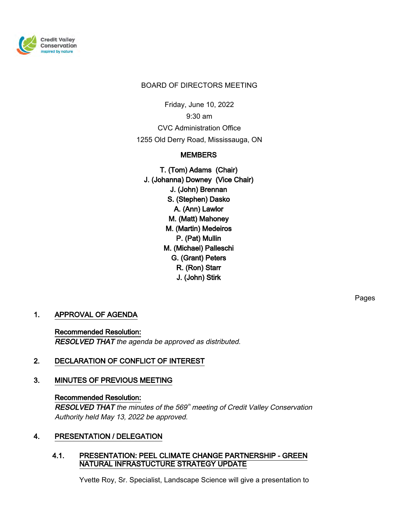

#### BOARD OF DIRECTORS MEETING

Friday, June 10, 2022

9:30 am

CVC Administration Office

1255 Old Derry Road, Mississauga, ON

# **MEMBERS**

T. (Tom) Adams (Chair) J. (Johanna) Downey (Vice Chair) J. (John) Brennan S. (Stephen) Dasko A. (Ann) Lawlor M. (Matt) Mahoney M. (Martin) Medeiros P. (Pat) Mullin M. (Michael) Palleschi G. (Grant) Peters R. (Ron) Starr J. (John) Stirk

1. APPROVAL OF AGENDA

Recommended Resolution: RESOLVED THAT the agenda be approved as distributed.

# 2. DECLARATION OF CONFLICT OF INTEREST

# 3. MINUTES OF PREVIOUS MEETING

#### Recommended Resolution:

RESOLVED THAT the minutes of the 569<sup>th</sup> meeting of Credit Valley Conservation Authority held May 13, 2022 be approved.

# 4. PRESENTATION / DELEGATION

### 4.1. PRESENTATION: PEEL CLIMATE CHANGE PARTNERSHIP - GREEN NATURAL INFRASTUCTURE STRATEGY UPDATE

Yvette Roy, Sr. Specialist, Landscape Science will give a presentation to

Pages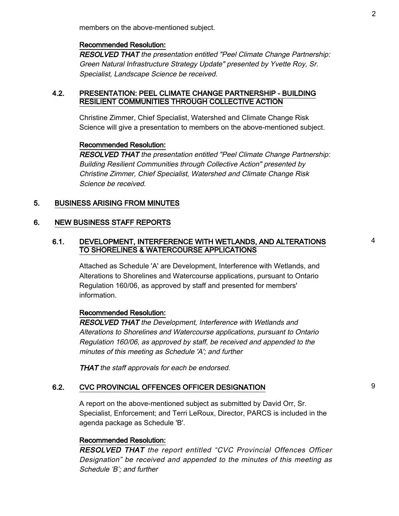members on the above-mentioned subject.

#### Recommended Resolution:

RESOLVED THAT the presentation entitled "Peel Climate Change Partnership: Green Natural Infrastructure Strategy Update" presented by Yvette Roy, Sr. Specialist, Landscape Science be received.

#### 4.2. PRESENTATION: PEEL CLIMATE CHANGE PARTNERSHIP - BUILDING RESILIENT COMMUNITIES THROUGH COLLECTIVE ACTION

Christine Zimmer, Chief Specialist, Watershed and Climate Change Risk Science will give a presentation to members on the above-mentioned subject.

#### Recommended Resolution:

RESOLVED THAT the presentation entitled "Peel Climate Change Partnership: Building Resilient Communities through Collective Action" presented by Christine Zimmer, Chief Specialist, Watershed and Climate Change Risk Science be received.

#### 5. BUSINESS ARISING FROM MINUTES

#### 6. NEW BUSINESS STAFF REPORTS

#### 6.1. DEVELOPMENT, INTERFERENCE WITH WETLANDS, AND ALTERATIONS TO SHORELINES & WATERCOURSE APPLICATIONS

Attached as Schedule 'A' are Development, Interference with Wetlands, and Alterations to Shorelines and Watercourse applications, pursuant to Ontario Regulation 160/06, as approved by staff and presented for members' information.

#### Recommended Resolution:

RESOLVED THAT the Development, Interference with Wetlands and Alterations to Shorelines and Watercourse applications, pursuant to Ontario Regulation 160/06, as approved by staff, be received and appended to the minutes of this meeting as Schedule 'A'; and further

**THAT** the staff approvals for each be endorsed.

#### 6.2. CVC PROVINCIAL OFFENCES OFFICER DESIGNATION 9

A report on the above-mentioned subject as submitted by David Orr, Sr. Specialist, Enforcement; and Terri LeRoux, Director, PARCS is included in the agenda package as Schedule 'B'.

#### Recommended Resolution:

RESOLVED THAT the report entitled "CVC Provincial Offences Officer Designation" be received and appended to the minutes of this meeting as Schedule 'B'; and further

4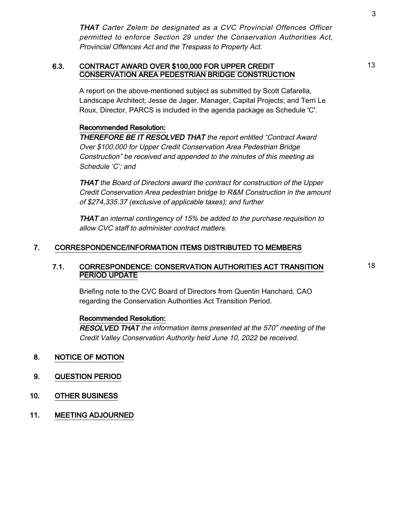THAT Carter Zelem be designated as a CVC Provincial Offences Officer permitted to enforce Section 29 under the Conservation Authorities Act, Provincial Offences Act and the Trespass to Property Act.

#### 6.3. CONTRACT AWARD OVER \$100,000 FOR UPPER CREDIT CONSERVATION AREA PEDESTRIAN BRIDGE CONSTRUCTION

A report on the above-mentioned subject as submitted by Scott Cafarella, Landscape Architect; Jesse de Jager, Manager, Capital Projects; and Terri Le Roux, Director, PARCS is included in the agenda package as Schedule 'C'.

### Recommended Resolution:

THEREFORE BE IT RESOLVED THAT the report entitled "Contract Award Over \$100,000 for Upper Credit Conservation Area Pedestrian Bridge Construction" be received and appended to the minutes of this meeting as Schedule 'C'; and

THAT the Board of Directors award the contract for construction of the Upper Credit Conservation Area pedestrian bridge to R&M Construction in the amount of \$274,335.37 (exclusive of applicable taxes); and further

THAT an internal contingency of 15% be added to the purchase requisition to allow CVC staff to administer contract matters.

### 7. CORRESPONDENCE/INFORMATION ITEMS DISTRIBUTED TO MEMBERS

### 7.1. CORRESPONDENCE: CONSERVATION AUTHORITIES ACT TRANSITION PERIOD UPDATE

Briefing note to the CVC Board of Directors from Quentin Hanchard, CAO regarding the Conservation Authorities Act Transition Period.

#### Recommended Resolution:

RESOLVED THAT the information items presented at the 570<sup>th</sup> meeting of the Credit Valley Conservation Authority held June 10, 2022 be received.

#### 8. NOTICE OF MOTION

- 9. QUESTION PERIOD
- 10. OTHER BUSINESS
- 11. MEETING ADJOURNED

13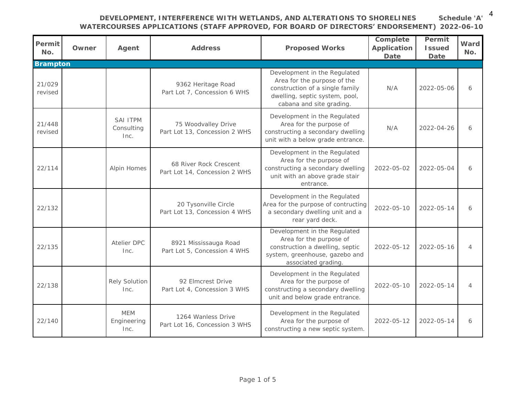**Schedule 'A'** 4

# **DEVELOPMENT, INTERFERENCE WITH WETLANDS, AND ALTERATIONS TO SHORELINES**

**WATERCOURSES APPLICATIONS (STAFF APPROVED, FOR BOARD OF DIRECTORS' ENDORSEMENT) 2022-06-10**

| Permit<br>No.     | Owner | Agent                             | Address                                                 | Proposed Works                                                                                                                                              | Complete<br>Application<br>Date | Permit<br><b>Issued</b><br>Date | Ward<br>No.    |
|-------------------|-------|-----------------------------------|---------------------------------------------------------|-------------------------------------------------------------------------------------------------------------------------------------------------------------|---------------------------------|---------------------------------|----------------|
| <b>Brampton</b>   |       |                                   |                                                         |                                                                                                                                                             |                                 |                                 |                |
| 21/029<br>revised |       |                                   | 9362 Heritage Road<br>Part Lot 7, Concession 6 WHS      | Development in the Regulated<br>Area for the purpose of the<br>construction of a single family<br>dwelling, septic system, pool,<br>cabana and site grading | N/A                             | 2022-05-06                      | 6              |
| 21/448<br>revised |       | SAI ITPM<br>Consulting<br>Inc.    | 75 Woodvalley Drive<br>Part Lot 13, Concession 2 WHS    | Development in the Regulated<br>Area for the purpose of<br>constructing a secondary dwelling<br>unit with a below grade entrance.                           | N/A                             | 2022-04-26                      | 6              |
| 22/114            |       | Alpin Homes                       | 68 River Rock Crescent<br>Part Lot 14, Concession 2 WHS | Development in the Regulated<br>Area for the purpose of<br>constructing a secondary dwelling<br>unit with an above grade stair<br>entrance.                 | 2022-05-02                      | 2022-05-04                      | 6              |
| 22/132            |       |                                   | 20 Tysonville Circle<br>Part Lot 13, Concession 4 WHS   | Development in the Regulated<br>Area for the purpose of contructing<br>a secondary dwelling unit and a<br>rear yard deck.                                   | 2022-05-10                      | 2022-05-14                      | 6              |
| 22/135            |       | Atelier DPC<br>Inc.               | 8921 Mississauga Road<br>Part Lot 5, Concession 4 WHS   | Development in the Regulated<br>Area for the purpose of<br>construction a dwelling, septic<br>system, greenhouse, gazebo and<br>associated grading.         | 2022-05-12                      | 2022-05-16                      | $\overline{4}$ |
| 22/138            |       | Rely Solution<br>Inc.             | 92 Elmcrest Drive<br>Part Lot 4, Concession 3 WHS       | Development in the Regulated<br>Area for the purpose of<br>constructing a secondary dwelling<br>unit and below grade entrance.                              | 2022-05-10                      | 2022-05-14                      | $\overline{4}$ |
| 22/140            |       | <b>MFM</b><br>Engineering<br>Inc. | 1264 Wanless Drive<br>Part Lot 16, Concession 3 WHS     | Development in the Regulated<br>Area for the purpose of<br>constructing a new septic system.                                                                | 2022-05-12                      | 2022-05-14                      | 6              |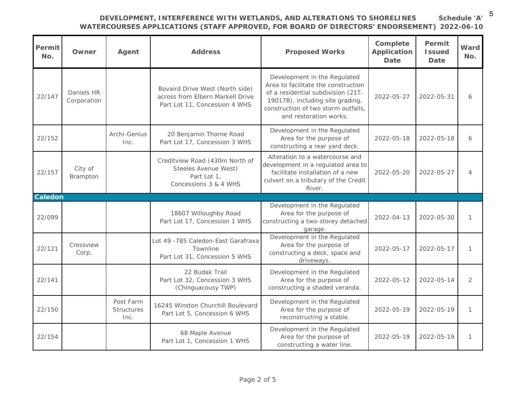5

**Schedule 'A'**

# **DEVELOPMENT, INTERFERENCE WITH WETLANDS, AND ALTERATIONS TO SHORELINES**

**WATERCOURSES APPLICATIONS (STAFF APPROVED, FOR BOARD OF DIRECTORS' ENDORSEMENT) 2022-06-10**

| Permit <sup> </sup><br>No. | Owner                     | Agent                                  | Address                                                                                              | Proposed Works                                                                                                                                                                                                 | Complete<br>Application<br>Date | Permit<br><b>Issued</b><br>Date | Ward<br>No.    |
|----------------------------|---------------------------|----------------------------------------|------------------------------------------------------------------------------------------------------|----------------------------------------------------------------------------------------------------------------------------------------------------------------------------------------------------------------|---------------------------------|---------------------------------|----------------|
| 22/147                     | Daniels HR<br>Corporation |                                        | Bovaird Drive West (North side)<br>across from Elbern Markell Drive<br>Part Lot 11, Concession 4 WHS | Development in the Regulated<br>Area to facilitate the construction<br>of a residential subdivision (21T-<br>19017B), including site grading,<br>construction of two storm outfalls,<br>and restoration works. | 2022-05-27                      | 2022-05-31                      | 6              |
| 22/152                     |                           | Archi-Genius<br>Inc.                   | 20 Benjamin Thorne Road<br>Part Lot 17, Concession 3 WHS                                             | Development in the Regulated<br>Area for the purpose of<br>constructing a rear yard deck.                                                                                                                      | 2022-05-18                      | 2022-05-18                      | 6              |
| 22/157                     | City of<br>Brampton       |                                        | Creditview Road (430m North of<br>Steeles Avenue West)<br>Part Lot 1,<br>Concessions 3 & 4 WHS       | Alteration to a watercourse and<br>development in a regulated area to<br>facilitate installation of a new<br>culvert on a tributary of the Credit<br>River.                                                    | 2022-05-20                      | 2022-05-27                      | $\overline{4}$ |
| Caledon                    |                           |                                        |                                                                                                      |                                                                                                                                                                                                                |                                 |                                 |                |
|                            |                           |                                        | 18607 Willoughby Road                                                                                | Development in the Regulated<br>Area for the purpose of                                                                                                                                                        |                                 |                                 |                |
| 22/099                     |                           |                                        | Part Lot 17, Concession 1 WHS                                                                        | constructing a two-storey detached<br>garage.                                                                                                                                                                  | $2022 - 04 - 13$                | 2022-05-30                      | $\mathcal{I}$  |
| 22/121                     | Cressview<br>Corp.        |                                        | Lot 49 -785 Caledon-East Garafraxa<br>Townline<br>Part Lot 31, Concession 5 WHS                      | Development in the Regulated<br>Area for the purpose of<br>constructing a deck, space and<br>driveways.                                                                                                        | 2022-05-17                      | 2022-05-17                      | $\mathcal{I}$  |
| 22/141                     |                           |                                        | 22 Budak Trail<br>Part Lot 32, Concession 3 WHS<br>(Chinguacousy TWP)                                | Development in the Regulated<br>Area for the purpose of<br>constructing a shaded veranda.                                                                                                                      | 2022-05-12                      | 2022-05-14                      | $\overline{2}$ |
| 22/150                     |                           | Post Farm<br><b>Structures</b><br>Inc. | 16245 Winston Churchill Boulevard<br>Part Lot 5, Concession 6 WHS                                    | Development in the Regulated<br>Area for the purpose of<br>reconstructing a stable.                                                                                                                            | 2022-05-19                      | 2022-05-19                      | $\mathcal{I}$  |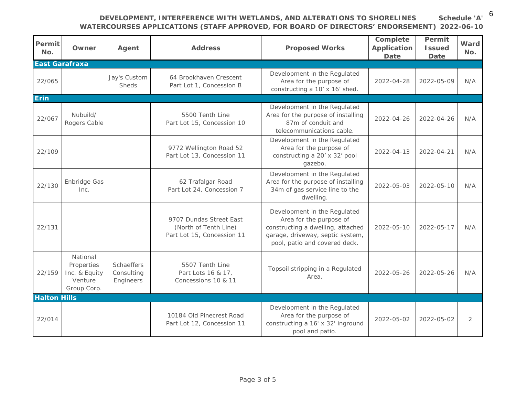**DEVELOPMENT, INTERFERENCE WITH WETLANDS, AND ALTERATIONS TO SHORELINES** 

**WATERCOURSES APPLICATIONS (STAFF APPROVED, FOR BOARD OF DIRECTORS' ENDORSEMENT) 2022-06-10 Schedule 'A'** 6

| Permit<br>No.       | Owner                                                             | Agent                                 | Address                                                                        | Proposed Works                                                                                                                                                    | Complete<br>Application<br>Date | Permit<br><b>Issued</b><br>Date | Ward<br>No.    |
|---------------------|-------------------------------------------------------------------|---------------------------------------|--------------------------------------------------------------------------------|-------------------------------------------------------------------------------------------------------------------------------------------------------------------|---------------------------------|---------------------------------|----------------|
| East Garafraxa      |                                                                   |                                       |                                                                                |                                                                                                                                                                   |                                 |                                 |                |
| 22/065              |                                                                   | Jay's Custom<br>Sheds                 | 64 Brookhaven Crescent<br>Part Lot 1, Concession B                             | Development in the Regulated<br>Area for the purpose of<br>constructing a 10' x 16' shed.                                                                         | 2022-04-28                      | 2022-05-09                      | N/A            |
| Erin                |                                                                   |                                       |                                                                                |                                                                                                                                                                   |                                 |                                 |                |
| 22/067              | Nubuild/<br>Rogers Cable                                          |                                       | 5500 Tenth Line<br>Part Lot 15, Concession 10                                  | Development in the Regulated<br>Area for the purpose of installing<br>87m of conduit and<br>telecommunications cable.                                             | 2022-04-26                      | 2022-04-26                      | N/A            |
| 22/109              |                                                                   |                                       | 9772 Wellington Road 52<br>Part Lot 13, Concession 11                          | Development in the Regulated<br>Area for the purpose of<br>constructing a 20' x 32' pool<br>gazebo.                                                               | 2022-04-13                      | 2022-04-21                      | N/A            |
| 22/130              | Enbridge Gas<br>Inc.                                              |                                       | 62 Trafalgar Road<br>Part Lot 24, Concession 7                                 | Development in the Regulated<br>Area for the purpose of installing<br>34m of gas service line to the<br>dwelling.                                                 | 2022-05-03                      | 2022-05-10                      | N/A            |
| 22/131              |                                                                   |                                       | 9707 Dundas Street East<br>(North of Tenth Line)<br>Part Lot 15, Concession 11 | Development in the Regulated<br>Area for the purpose of<br>constructing a dwelling, attached<br>garage, driveway, septic system,<br>pool, patio and covered deck. | 2022-05-10                      | 2022-05-17                      | N/A            |
| 22/159              | National<br>Properties<br>Inc. & Equity<br>Venture<br>Group Corp. | Schaeffers<br>Consulting<br>Engineers | 5507 Tenth Line<br>Part Lots 16 & 17,<br>Concessions 10 & 11                   | Topsoil stripping in a Regulated<br>Area.                                                                                                                         | 2022-05-26                      | 2022-05-26                      | N/A            |
| <b>Halton Hills</b> |                                                                   |                                       |                                                                                |                                                                                                                                                                   |                                 |                                 |                |
| 22/014              |                                                                   |                                       | 10184 Old Pinecrest Road<br>Part Lot 12, Concession 11                         | Development in the Regulated<br>Area for the purpose of<br>constructing a 16' x 32' inground<br>pool and patio.                                                   | 2022-05-02                      | 2022-05-02                      | $\overline{2}$ |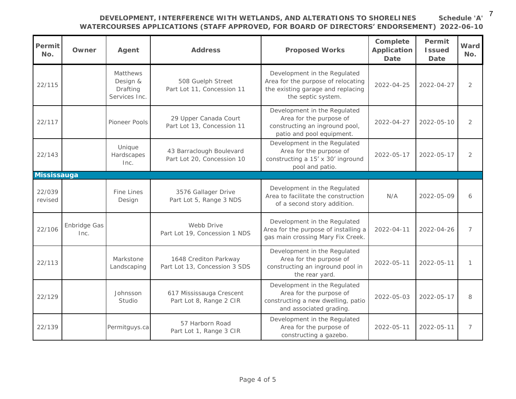**DEVELOPMENT, INTERFERENCE WITH WETLANDS, AND ALTERATIONS TO SHORELINES** 

**Schedule 'A'**

7

**WATERCOURSES APPLICATIONS (STAFF APPROVED, FOR BOARD OF DIRECTORS' ENDORSEMENT) 2022-06-10**

| Permit<br>No.     | Owner                | Agent                                             | Address                                                | Proposed Works                                                                                                                | Complete<br>Application<br>Date | Permit<br><b>Issued</b><br>Date | Ward<br>No.    |
|-------------------|----------------------|---------------------------------------------------|--------------------------------------------------------|-------------------------------------------------------------------------------------------------------------------------------|---------------------------------|---------------------------------|----------------|
| 22/115            |                      | Matthews<br>Design &<br>Drafting<br>Services Inc. | 508 Guelph Street<br>Part Lot 11, Concession 11        | Development in the Regulated<br>Area for the purpose of relocating<br>the existing garage and replacing<br>the septic system. | 2022-04-25                      | 2022-04-27                      | $\overline{2}$ |
| 22/117            |                      | Pioneer Pools                                     | 29 Upper Canada Court<br>Part Lot 13, Concession 11    | Development in the Regulated<br>Area for the purpose of<br>constructing an inground pool,<br>patio and pool equipment.        | 2022-04-27                      | 2022-05-10                      | $\overline{2}$ |
| 22/143            |                      | Unique<br>Hardscapes<br>Inc.                      | 43 Barraclough Boulevard<br>Part Lot 20, Concession 10 | Development in the Regulated<br>Area for the purpose of<br>constructing a 15' x 30' inground<br>pool and patio.               | 2022-05-17                      | 2022-05-17                      | $\overline{2}$ |
| Mississauga       |                      |                                                   |                                                        |                                                                                                                               |                                 |                                 |                |
| 22/039<br>revised |                      | Fine Lines<br>Design                              | 3576 Gallager Drive<br>Part Lot 5, Range 3 NDS         | Development in the Regulated<br>Area to facilitate the construction<br>of a second story addition.                            | N/A                             | 2022-05-09                      | 6              |
| 22/106            | Enbridge Gas<br>Inc. |                                                   | Webb Drive<br>Part Lot 19, Concession 1 NDS            | Development in the Regulated<br>Area for the purpose of installing a<br>gas main crossing Mary Fix Creek.                     | 2022-04-11                      | 2022-04-26                      | $\overline{7}$ |
| 22/113            |                      | Markstone<br>Landscaping                          | 1648 Crediton Parkway<br>Part Lot 13, Concession 3 SDS | Development in the Regulated<br>Area for the purpose of<br>constructing an inground pool in<br>the rear yard.                 | 2022-05-11                      | 2022-05-11                      | $\mathcal{I}$  |
| 22/129            |                      | Johnsson<br>Studio                                | 617 Mississauga Crescent<br>Part Lot 8, Range 2 CIR    | Development in the Regulated<br>Area for the purpose of<br>constructing a new dwelling, patio<br>and associated grading       | 2022-05-03                      | $2022 - 05 - 17$                | 8              |
| 22/139            |                      | Permitguys.ca                                     | 57 Harborn Road<br>Part Lot 1, Range 3 CIR             | Development in the Regulated<br>Area for the purpose of<br>constructing a gazebo.                                             | 2022-05-11                      | 2022-05-11                      | 7              |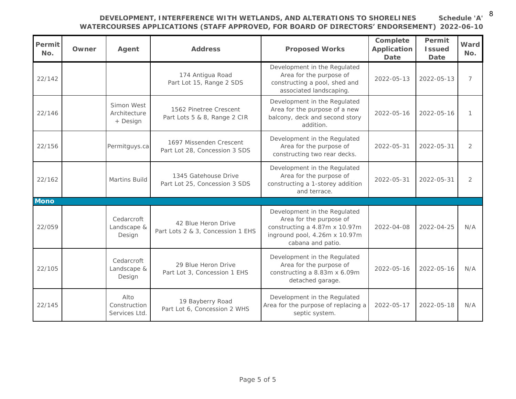# **DEVELOPMENT, INTERFERENCE WITH WETLANDS, AND ALTERATIONS TO SHORELINES**

**Schedule 'A'** 8**2022-06-10**

| <b>WATERCOURSES APPLICATIONS (STAFF APPROVED, FOR BOARD OF DIRECTORS' ENDORSEMENT)</b> 2022-06- |  |
|-------------------------------------------------------------------------------------------------|--|
|-------------------------------------------------------------------------------------------------|--|

| Permit<br>No. | Owner | Agent                                  | Address                                                  | Proposed Works                                                                                                                                 | Complete<br>Application<br>Date | Permit<br><b>Issued</b><br>Date | Ward<br>No. |
|---------------|-------|----------------------------------------|----------------------------------------------------------|------------------------------------------------------------------------------------------------------------------------------------------------|---------------------------------|---------------------------------|-------------|
| 22/142        |       |                                        | 174 Antigua Road<br>Part Lot 15, Range 2 SDS             | Development in the Regulated<br>Area for the purpose of<br>constructing a pool, shed and<br>associated landscaping.                            | 2022-05-13                      | 2022-05-13                      | 7           |
| 22/146        |       | Simon West<br>Architecture<br>+ Design | 1562 Pinetree Crescent<br>Part Lots 5 & 8, Range 2 CIR   | Development in the Regulated<br>Area for the purpose of a new<br>balcony, deck and second story<br>addition.                                   | $2022 - 05 - 16$                | $2022 - 05 - 16$                | 1           |
| 22/156        |       | Permitguys.ca                          | 1697 Missenden Crescent<br>Part Lot 28, Concession 3 SDS | Development in the Regulated<br>Area for the purpose of<br>constructing two rear decks.                                                        | 2022-05-31                      | 2022-05-31                      | 2           |
| 22/162        |       | Martins Build                          | 1345 Gatehouse Drive<br>Part Lot 25, Concession 3 SDS    | Development in the Regulated<br>Area for the purpose of<br>constructing a 1-storey addition<br>and terrace.                                    | 2022-05-31                      | $2022 - 05 - 31$                | 2           |
| Mono          |       |                                        |                                                          |                                                                                                                                                |                                 |                                 |             |
| 22/059        |       | Cedarcroft<br>Landscape &<br>Design    | 42 Blue Heron Drive<br>Part Lots 2 & 3, Concession 1 EHS | Development in the Regulated<br>Area for the purpose of<br>constructing a 4.87m x 10.97m<br>inground pool, 4.26m x 10.97m<br>cabana and patio. | 2022-04-08                      | 2022-04-25                      | N/A         |
| 22/105        |       | Cedarcroft<br>Landscape &<br>Design    | 29 Blue Heron Drive<br>Part Lot 3, Concession 1 EHS      | Development in the Regulated<br>Area for the purpose of<br>constructing a 8.83m x 6.09m<br>detached garage.                                    | $2022 - 05 - 16$                | 2022-05-16                      | N/A         |
| 22/145        |       | Alto<br>Construction<br>Services Ltd.  | 19 Bayberry Road<br>Part Lot 6, Concession 2 WHS         | Development in the Regulated<br>Area for the purpose of replacing a<br>septic system.                                                          | 2022-05-17                      | 2022-05-18                      | N/A         |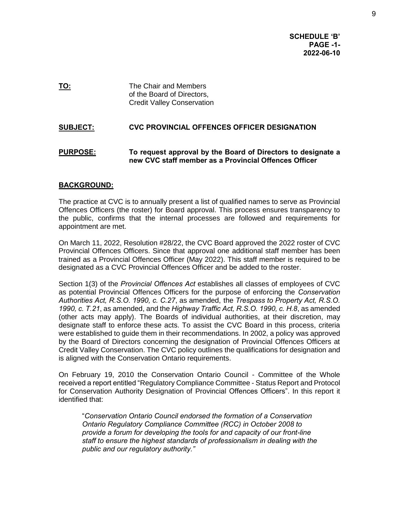**SCHEDULE 'B' PAGE -1- 2022-06-10**

**TO:** The Chair and Members of the Board of Directors, Credit Valley Conservation

### **SUBJECT: CVC PROVINCIAL OFFENCES OFFICER DESIGNATION**

#### **PURPOSE: To request approval by the Board of Directors to designate a new CVC staff member as a Provincial Offences Officer**

#### **BACKGROUND:**

The practice at CVC is to annually present a list of qualified names to serve as Provincial Offences Officers (the roster) for Board approval. This process ensures transparency to the public, confirms that the internal processes are followed and requirements for appointment are met.

On March 11, 2022, Resolution #28/22, the CVC Board approved the 2022 roster of CVC Provincial Offences Officers. Since that approval one additional staff member has been trained as a Provincial Offences Officer (May 2022). This staff member is required to be designated as a CVC Provincial Offences Officer and be added to the roster.

Section 1(3) of the *Provincial Offences Act* establishes all classes of employees of CVC as potential Provincial Offences Officers for the purpose of enforcing the *Conservation Authorities Act, R.S.O. 1990, c. C.27*, as amended, the *Trespass to Property Act, R.S.O. 1990, c. T.21*, as amended, and the *Highway Traffic Act, R.S.O. 1990, c. H.8*, as amended (other acts may apply). The Boards of individual authorities, at their discretion, may designate staff to enforce these acts. To assist the CVC Board in this process, criteria were established to guide them in their recommendations. In 2002, a policy was approved by the Board of Directors concerning the designation of Provincial Offences Officers at Credit Valley Conservation. The CVC policy outlines the qualifications for designation and is aligned with the Conservation Ontario requirements.

On February 19, 2010 the Conservation Ontario Council - Committee of the Whole received a report entitled "Regulatory Compliance Committee - Status Report and Protocol for Conservation Authority Designation of Provincial Offences Officers". In this report it identified that:

"*Conservation Ontario Council endorsed the formation of a Conservation Ontario Regulatory Compliance Committee (RCC) in October 2008 to provide a forum for developing the tools for and capacity of our front-line staff to ensure the highest standards of professionalism in dealing with the public and our regulatory authority."*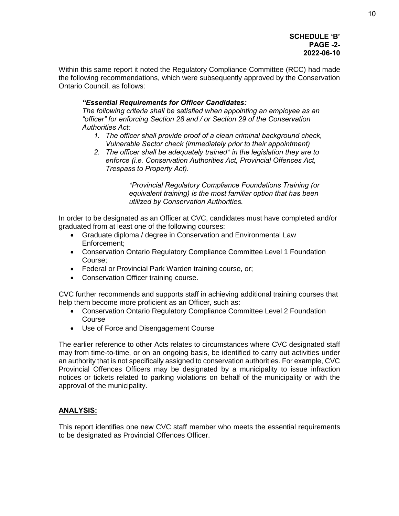#### **SCHEDULE 'B' PAGE -2- 2022-06-10**

Within this same report it noted the Regulatory Compliance Committee (RCC) had made the following recommendations, which were subsequently approved by the Conservation Ontario Council, as follows:

### *"Essential Requirements for Officer Candidates:*

*The following criteria shall be satisfied when appointing an employee as an "officer" for enforcing Section 28 and / or Section 29 of the Conservation Authorities Act:* 

- *1. The officer shall provide proof of a clean criminal background check, Vulnerable Sector check (immediately prior to their appointment)*
- *2. The officer shall be adequately trained\* in the legislation they are to enforce (i.e. Conservation Authorities Act, Provincial Offences Act, Trespass to Property Act).*

*\*Provincial Regulatory Compliance Foundations Training (or equivalent training) is the most familiar option that has been utilized by Conservation Authorities.* 

In order to be designated as an Officer at CVC, candidates must have completed and/or graduated from at least one of the following courses:

- Graduate diploma / degree in Conservation and Environmental Law Enforcement;
- Conservation Ontario Regulatory Compliance Committee Level 1 Foundation Course;
- Federal or Provincial Park Warden training course, or;
- Conservation Officer training course.

CVC further recommends and supports staff in achieving additional training courses that help them become more proficient as an Officer, such as:

- Conservation Ontario Regulatory Compliance Committee Level 2 Foundation Course
- Use of Force and Disengagement Course

The earlier reference to other Acts relates to circumstances where CVC designated staff may from time-to-time, or on an ongoing basis, be identified to carry out activities under an authority that is not specifically assigned to conservation authorities. For example, CVC Provincial Offences Officers may be designated by a municipality to issue infraction notices or tickets related to parking violations on behalf of the municipality or with the approval of the municipality.

#### **ANALYSIS:**

This report identifies one new CVC staff member who meets the essential requirements to be designated as Provincial Offences Officer.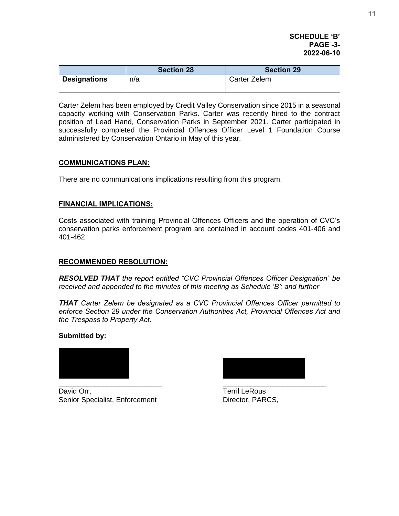#### **SCHEDULE 'B' PAGE -3- 2022-06-10**

|                     | <b>Section 28</b> | <b>Section 29</b> |
|---------------------|-------------------|-------------------|
| <b>Designations</b> | n/a               | Carter Zelem      |

Carter Zelem has been employed by Credit Valley Conservation since 2015 in a seasonal capacity working with Conservation Parks. Carter was recently hired to the contract position of Lead Hand, Conservation Parks in September 2021. Carter participated in successfully completed the Provincial Offences Officer Level 1 Foundation Course administered by Conservation Ontario in May of this year.

#### **COMMUNICATIONS PLAN:**

There are no communications implications resulting from this program.

#### **FINANCIAL IMPLICATIONS:**

Costs associated with training Provincial Offences Officers and the operation of CVC's conservation parks enforcement program are contained in account codes 401-406 and 401-462.

#### **RECOMMENDED RESOLUTION:**

*RESOLVED THAT the report entitled "CVC Provincial Offences Officer Designation" be received and appended to the minutes of this meeting as Schedule 'B'; and further* 

*THAT Carter Zelem be designated as a CVC Provincial Offences Officer permitted to enforce Section 29 under the Conservation Authorities Act, Provincial Offences Act and the Trespass to Property Act.*

#### **Submitted by:**



David Orr, **Terril LeRous** Senior Specialist, Enforcement Director, PARCS,

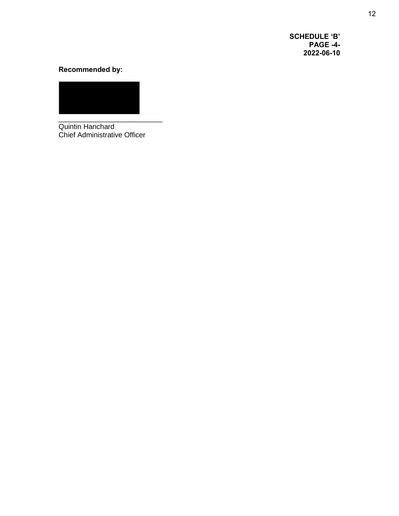**SCHEDULE 'B' PAGE -4- 2022-06-10**

# **Recommended by:**

Quintin Hanchard Chief Administrative Officer

\_\_\_\_\_\_\_\_\_\_\_\_\_\_\_\_\_\_\_\_\_\_\_\_\_\_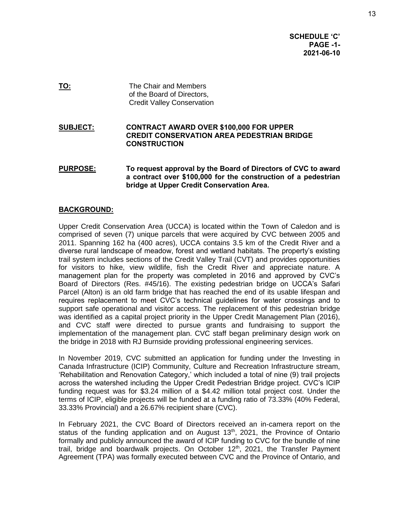**SCHEDULE 'C' PAGE -1- 2021-06-10**

**TO:** The Chair and Members of the Board of Directors, Credit Valley Conservation

**SUBJECT: CONTRACT AWARD OVER \$100,000 FOR UPPER CREDIT CONSERVATION AREA PEDESTRIAN BRIDGE CONSTRUCTION** 

**PURPOSE: To request approval by the Board of Directors of CVC to award a contract over \$100,000 for the construction of a pedestrian bridge at Upper Credit Conservation Area.** 

#### **BACKGROUND:**

Upper Credit Conservation Area (UCCA) is located within the Town of Caledon and is comprised of seven (7) unique parcels that were acquired by CVC between 2005 and 2011. Spanning 162 ha (400 acres), UCCA contains 3.5 km of the Credit River and a diverse rural landscape of meadow, forest and wetland habitats. The property's existing trail system includes sections of the Credit Valley Trail (CVT) and provides opportunities for visitors to hike, view wildlife, fish the Credit River and appreciate nature. A management plan for the property was completed in 2016 and approved by CVC's Board of Directors (Res. #45/16). The existing pedestrian bridge on UCCA's Safari Parcel (Alton) is an old farm bridge that has reached the end of its usable lifespan and requires replacement to meet CVC's technical guidelines for water crossings and to support safe operational and visitor access. The replacement of this pedestrian bridge was identified as a capital project priority in the Upper Credit Management Plan (2016), and CVC staff were directed to pursue grants and fundraising to support the implementation of the management plan. CVC staff began preliminary design work on the bridge in 2018 with RJ Burnside providing professional engineering services.

In November 2019, CVC submitted an application for funding under the Investing in Canada Infrastructure (ICIP) Community, Culture and Recreation Infrastructure stream, 'Rehabilitation and Renovation Category,' which included a total of nine (9) trail projects across the watershed including the Upper Credit Pedestrian Bridge project. CVC's ICIP funding request was for \$3.24 million of a \$4.42 million total project cost. Under the terms of ICIP, eligible projects will be funded at a funding ratio of 73.33% (40% Federal, 33.33% Provincial) and a 26.67% recipient share (CVC).

In February 2021, the CVC Board of Directors received an in-camera report on the status of the funding application and on August  $13<sup>th</sup>$ , 2021, the Province of Ontario formally and publicly announced the award of ICIP funding to CVC for the bundle of nine trail, bridge and boardwalk projects. On October 12<sup>th</sup>, 2021, the Transfer Payment Agreement (TPA) was formally executed between CVC and the Province of Ontario, and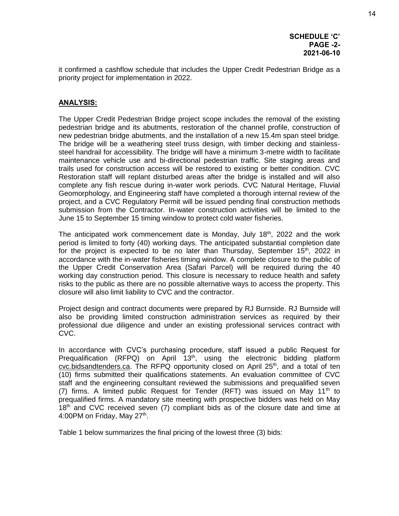it confirmed a cashflow schedule that includes the Upper Credit Pedestrian Bridge as a priority project for implementation in 2022.

#### **ANALYSIS:**

The Upper Credit Pedestrian Bridge project scope includes the removal of the existing pedestrian bridge and its abutments, restoration of the channel profile, construction of new pedestrian bridge abutments, and the installation of a new 15.4m span steel bridge. The bridge will be a weathering steel truss design, with timber decking and stainlesssteel handrail for accessibility. The bridge will have a minimum 3-metre width to facilitate maintenance vehicle use and bi-directional pedestrian traffic. Site staging areas and trails used for construction access will be restored to existing or better condition. CVC Restoration staff will replant disturbed areas after the bridge is installed and will also complete any fish rescue during in-water work periods. CVC Natural Heritage, Fluvial Geomorphology, and Engineering staff have completed a thorough internal review of the project, and a CVC Regulatory Permit will be issued pending final construction methods submission from the Contractor. In-water construction activities will be limited to the June 15 to September 15 timing window to protect cold water fisheries.

The anticipated work commencement date is Monday, July  $18<sup>th</sup>$ , 2022 and the work period is limited to forty (40) working days. The anticipated substantial completion date for the project is expected to be no later than Thursday, September  $15<sup>th</sup>$ , 2022 in accordance with the in-water fisheries timing window. A complete closure to the public of the Upper Credit Conservation Area (Safari Parcel) will be required during the 40 working day construction period. This closure is necessary to reduce health and safety risks to the public as there are no possible alternative ways to access the property. This closure will also limit liability to CVC and the contractor.

Project design and contract documents were prepared by RJ Burnside. RJ Burnside will also be providing limited construction administration services as required by their professional due diligence and under an existing professional services contract with CVC.

In accordance with CVC's purchasing procedure, staff issued a public Request for Prequalification (RFPQ) on April  $13<sup>th</sup>$ , using the electronic bidding platform  $\alpha$ cvc.bidsandtenders.ca. The RFPQ opportunity closed on April  $25<sup>th</sup>$ , and a total of ten (10) firms submitted their qualifications statements. An evaluation committee of CVC staff and the engineering consultant reviewed the submissions and prequalified seven (7) firms. A limited public Request for Tender (RFT) was issued on May 11<sup>th</sup> to prequalified firms. A mandatory site meeting with prospective bidders was held on May 18<sup>th</sup> and CVC received seven (7) compliant bids as of the closure date and time at 4:00PM on Friday, May 27<sup>th</sup>.

Table 1 below summarizes the final pricing of the lowest three (3) bids: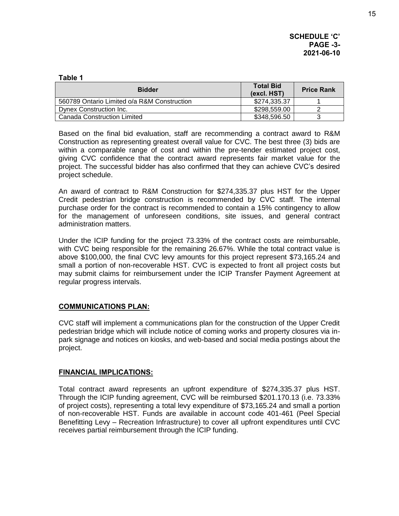**SCHEDULE 'C' PAGE -3- 2021-06-10**

#### **Table 1 Bidder Total Bid (excl. HST) Price Rank** 560789 Ontario Limited o/a R&M Construction \$274,335.37 1 Dynex Construction Inc. **1998** 208,559.00 **2** Canada Construction Limited  $\sim$  348,596.50 | 3

Based on the final bid evaluation, staff are recommending a contract award to R&M Construction as representing greatest overall value for CVC. The best three (3) bids are within a comparable range of cost and within the pre-tender estimated project cost, giving CVC confidence that the contract award represents fair market value for the project. The successful bidder has also confirmed that they can achieve CVC's desired project schedule.

An award of contract to R&M Construction for \$274,335.37 plus HST for the Upper Credit pedestrian bridge construction is recommended by CVC staff. The internal purchase order for the contract is recommended to contain a 15% contingency to allow for the management of unforeseen conditions, site issues, and general contract administration matters.

Under the ICIP funding for the project 73.33% of the contract costs are reimbursable, with CVC being responsible for the remaining 26.67%. While the total contract value is above \$100,000, the final CVC levy amounts for this project represent \$73,165.24 and small a portion of non-recoverable HST. CVC is expected to front all project costs but may submit claims for reimbursement under the ICIP Transfer Payment Agreement at regular progress intervals.

# **COMMUNICATIONS PLAN:**

CVC staff will implement a communications plan for the construction of the Upper Credit pedestrian bridge which will include notice of coming works and property closures via inpark signage and notices on kiosks, and web-based and social media postings about the project.

# **FINANCIAL IMPLICATIONS:**

Total contract award represents an upfront expenditure of \$274,335.37 plus HST. Through the ICIP funding agreement, CVC will be reimbursed \$201.170.13 (i.e. 73.33% of project costs), representing a total levy expenditure of \$73,165.24 and small a portion of non-recoverable HST. Funds are available in account code 401-461 (Peel Special Benefitting Levy – Recreation Infrastructure) to cover all upfront expenditures until CVC receives partial reimbursement through the ICIP funding.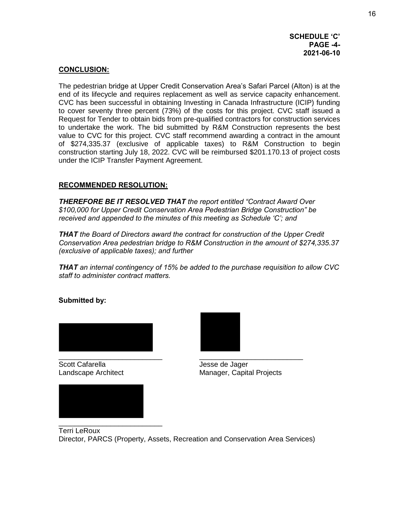### **CONCLUSION:**

The pedestrian bridge at Upper Credit Conservation Area's Safari Parcel (Alton) is at the end of its lifecycle and requires replacement as well as service capacity enhancement. CVC has been successful in obtaining Investing in Canada Infrastructure (ICIP) funding to cover seventy three percent (73%) of the costs for this project. CVC staff issued a Request for Tender to obtain bids from pre-qualified contractors for construction services to undertake the work. The bid submitted by R&M Construction represents the best value to CVC for this project. CVC staff recommend awarding a contract in the amount of \$274,335.37 (exclusive of applicable taxes) to R&M Construction to begin construction starting July 18, 2022. CVC will be reimbursed \$201.170.13 of project costs under the ICIP Transfer Payment Agreement.

### **RECOMMENDED RESOLUTION:**

*THEREFORE BE IT RESOLVED THAT the report entitled "Contract Award Over \$100,000 for Upper Credit Conservation Area Pedestrian Bridge Construction" be received and appended to the minutes of this meeting as Schedule 'C'; and* 

*THAT the Board of Directors award the contract for construction of the Upper Credit Conservation Area pedestrian bridge to R&M Construction in the amount of \$274,335.37 (exclusive of applicable taxes); and further* 

*THAT an internal contingency of 15% be added to the purchase requisition to allow CVC staff to administer contract matters.* 

**Submitted by:** 



Scott Cafarella **Grand Cafarella** Jesse de Jager





Landscape Architect Manager, Capital Projects

Terri LeRoux Director, PARCS (Property, Assets, Recreation and Conservation Area Services)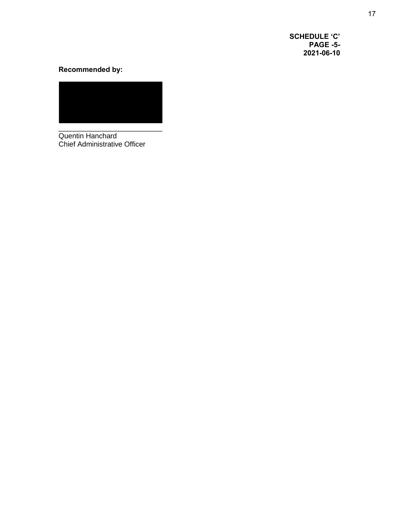**SCHEDULE 'C' PAGE -5- 2021-06-10**

# **Recommended by:**



Quentin Hanchard Chief Administrative Officer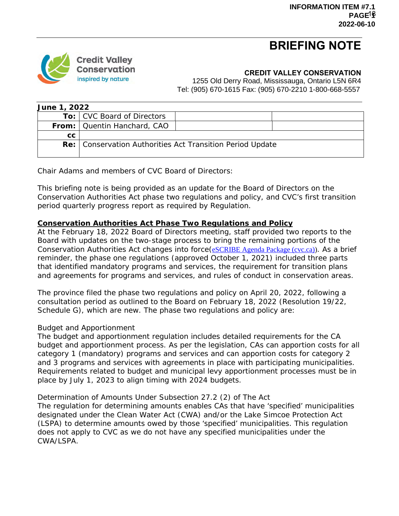# **BRIEFING NOTE**



#### **CREDIT VALLEY CONSERVATION**

1255 Old Derry Road, Mississauga, Ontario L5N 6R4 Tel: (905) 670-1615 Fax: (905) 670-2210 1-800-668-5557

| June 1, 2022 |                                                             |  |  |  |  |
|--------------|-------------------------------------------------------------|--|--|--|--|
|              | To: CVC Board of Directors                                  |  |  |  |  |
|              | From:   Quentin Hanchard, CAO                               |  |  |  |  |
| СC           |                                                             |  |  |  |  |
|              | Re:   Conservation Authorities Act Transition Period Update |  |  |  |  |
|              |                                                             |  |  |  |  |

Chair Adams and members of CVC Board of Directors:

This briefing note is being provided as an update for the Board of Directors on the Conservation Authorities Act phase two regulations and policy, and CVC's first transition period quarterly progress report as required by Regulation.

#### **Conservation Authorities Act Phase Two Regulations and Policy**

At the February 18, 2022 Board of Directors meeting, staff provided two reports to the Board with updates on the two-stage process to bring the remaining portions of the Conservation Authorities Act changes into force ([eSCRIBE Agenda Package \(cvc.ca\)\)](https://cvc.ca/wp-content/uploads/2022/02/Agenda-Package-BOARD-OF-DIRECTORS-MEETING_Feb18_2022_Redacted.pdf). As a brief reminder, the phase one regulations (approved October 1, 2021) included three parts that identified mandatory programs and services, the requirement for transition plans and agreements for programs and services, and rules of conduct in conservation areas.

The province filed the phase two regulations and policy on April 20, 2022, following a consultation period as outlined to the Board on February 18, 2022 (Resolution 19/22, Schedule G), which are new. The phase two regulations and policy are:

#### *Budget and Apportionment*

The budget and apportionment regulation includes detailed requirements for the CA budget and apportionment process. As per the legislation, CAs can apportion costs for all category 1 (mandatory) programs and services and can apportion costs for category 2 and 3 programs and services with agreements in place with participating municipalities. Requirements related to budget and municipal levy apportionment processes must be in place by July 1, 2023 to align timing with 2024 budgets.

#### *Determination of Amounts Under Subsection 27.2 (2) of The Act*

The regulation for determining amounts enables CAs that have 'specified' municipalities designated under the Clean Water Act (CWA) and/or the Lake Simcoe Protection Act (LSPA) to determine amounts owed by those 'specified' municipalities. This regulation does not apply to CVC as we do not have any specified municipalities under the CWA/LSPA.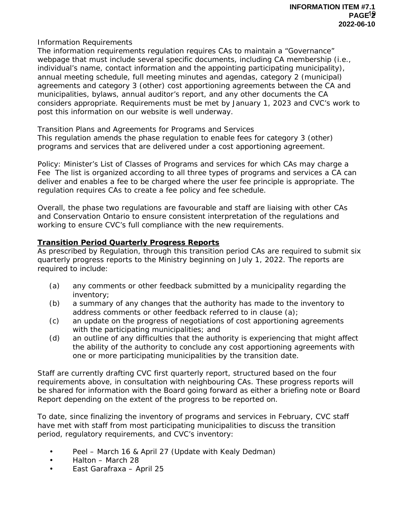#### *Information Requirements*

The information requirements regulation requires CAs to maintain a "Governance" webpage that must include several specific documents, including CA membership (i.e., individual's name, contact information and the appointing participating municipality), annual meeting schedule, full meeting minutes and agendas, category 2 (municipal) agreements and category 3 (other) cost apportioning agreements between the CA and municipalities, bylaws, annual auditor's report, and any other documents the CA considers appropriate. Requirements must be met by January 1, 2023 and CVC's work to post this information on our website is well underway.

# *Transition Plans and Agreements for Programs and Services*

This regulation amends the phase regulation to enable fees for category 3 (other) programs and services that are delivered under a cost apportioning agreement.

# *Policy: Minister's List of Classes of Programs and services for which CAs may charge a*

*Fee* The list is organized according to all three types of programs and services a CA can deliver and enables a fee to be charged where the user fee principle is appropriate. The regulation requires CAs to create a fee policy and fee schedule.

Overall, the phase two regulations are favourable and staff are liaising with other CAs and Conservation Ontario to ensure consistent interpretation of the regulations and working to ensure CVC's full compliance with the new requirements.

### *Transition Period Quarterly Progress Reports*

As prescribed by Regulation, through this transition period CAs are required to submit six quarterly progress reports to the Ministry beginning on July 1, 2022. The reports are required to include:

- (a) any comments or other feedback submitted by a municipality regarding the inventory;
- (b) a summary of any changes that the authority has made to the inventory to address comments or other feedback referred to in clause (a);
- (c) an update on the progress of negotiations of cost apportioning agreements with the participating municipalities; and
- (d) an outline of any difficulties that the authority is experiencing that might affect the ability of the authority to conclude any cost apportioning agreements with one or more participating municipalities by the transition date.

Staff are currently drafting CVC first quarterly report, structured based on the four requirements above, in consultation with neighbouring CAs. These progress reports will be shared for information with the Board going forward as either a briefing note or Board Report depending on the extent of the progress to be reported on.

To date, since finalizing the inventory of programs and services in February, CVC staff have met with staff from most participating municipalities to discuss the transition period, regulatory requirements, and CVC's inventory:

- Peel March 16 & April 27 (Update with Kealy Dedman)
- Halton March 28
- East Garafraxa April 25